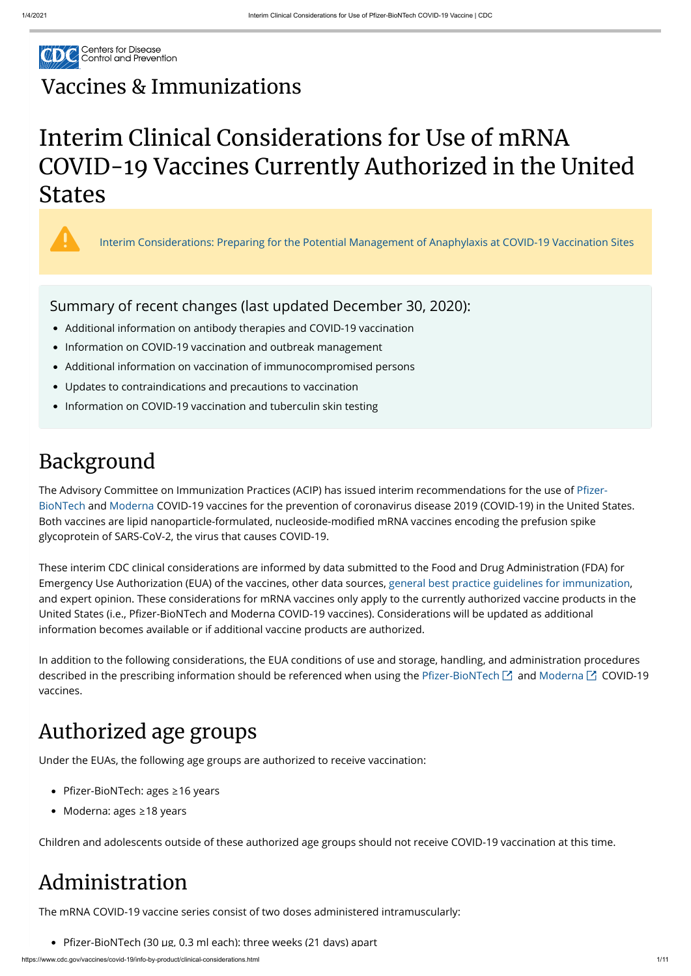

https://www.cdc.gov/vaccines/covid-19/info-by-product/clinical-considerations.html 1/11

## Vaccines & [Immunizations](https://www.cdc.gov/vaccines/index.html)

# Interim Clinical Considerations for Use of mRNA COVID-19 Vaccines Currently Authorized in the United States



# Background

The Advisory Committee on Immunization Practices (ACIP) has issued interim recommendations for the use of Pfizer-[BioNTech and Moderna COVID-19 vaccines for the prevention of coronavirus disease 2019 \(COVID-19\) in the United St](https://www.cdc.gov/mmwr/volumes/69/wr/mm6950e2.htm?s_cid=mm6950e2_w)ates. Both vaccines are lipid nanoparticle-formulated, nucleoside-modified mRNA vaccines encoding the prefusion spike glycoprotein of SARS-CoV-2, the virus that causes COVID-19.

- Pfizer-BioNTech: ages ≥16 years
- Moderna: ages ≥18 years

These interim CDC clinical considerations are informed by data submitted to the Food and Drug Administration (FDA) for Emergency Use Authorization (EUA) of the vaccines, other data sources, [general best practice guidelines for immunization](https://www.cdc.gov/vaccines/hcp/acip-recs/general-recs/index.html), and expert opinion. These considerations for mRNA vaccines only apply to the currently authorized vaccine products in the United States (i.e., Pfizer-BioNTech and Moderna COVID-19 vaccines). Considerations will be updated as additional information becomes available or if additional vaccine products are authorized.

- Additional information on antibody therapies and COVID-19 vaccination
- Information on COVID-19 vaccination and outbreak management
- Additional information on vaccination of immunocompromised persons
- Updates to contraindications and precautions to vaccination
- Information on COVID-19 vaccination and tuberculin skin testing

In addition to the following considerations, the EUA conditions of use and storage, handling, and administration procedures described in the prescribing information should be referenced when using the Pfizer-BioNTech  $\boxtimes$  and [Moderna](https://www.fda.gov/media/144637/download)  $\boxtimes$  COVID-19 vaccines.

# Authorized age groups

Under the EUAs, the following age groups are authorized to receive vaccination:

Children and adolescents outside of these authorized age groups should not receive COVID-19 vaccination at this time.

### Administration

The mRNA COVID-19 vaccine series consist of two doses administered intramuscularly:

• Pfizer-BioNTech (30 µg, 0.3 ml each): three weeks (21 days) apart

[Interim Considerations: Preparing for the Potential Management of Anaphylaxis at COVID-19 Vaccination Sites](https://www.cdc.gov/vaccines/covid-19/info-by-product/pfizer/anaphylaxis-management.html)

### Summary of recent changes (last updated December 30, 2020):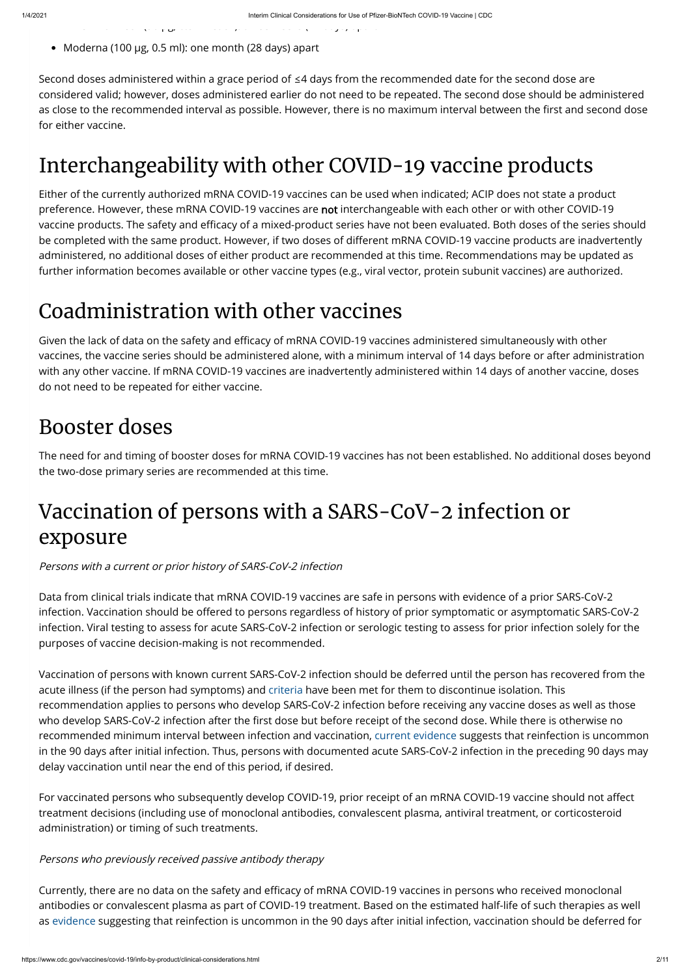Moderna (100 µg, 0.5 ml): one month (28 days) apart

e o ec (30 <mark>y - ec (30 y - ec (30 y - ec ee s ( days) ap</mark>a t ee s ( days) apa t ee s ( days) apa t ee s ( days) a<br>T ee s ( days) apa t ee s ( days) apa t ee s ( days) apa t ee s ( days) apa t ee s ( days) apa t ee s ( days

Second doses administered within a grace period of ≤4 days from the recommended date for the second dose are considered valid; however, doses administered earlier do not need to be repeated. The second dose should be administered as close to the recommended interval as possible. However, there is no maximum interval between the first and second dose for either vaccine.

# Interchangeability with other COVID-19 vaccine products

Given the lack of data on the safety and efficacy of mRNA COVID-19 vaccines administered simultaneously with other vaccines, the vaccine series should be administered alone, with a minimum interval of 14 days before or after administration with any other vaccine. If mRNA COVID-19 vaccines are inadvertently administered within 14 days of another vaccine, doses do not need to be repeated for either vaccine.

Either of the currently authorized mRNA COVID-19 vaccines can be used when indicated; ACIP does not state a product preference. However, these mRNA COVID-19 vaccines are not interchangeable with each other or with other COVID-19 vaccine products. The safety and efficacy of a mixed-product series have not been evaluated. Both doses of the series should be completed with the same product. However, if two doses of different mRNA COVID-19 vaccine products are inadvertently administered, no additional doses of either product are recommended at this time. Recommendations may be updated as further information becomes available or other vaccine types (e.g., viral vector, protein subunit vaccines) are authorized.

### Coadministration with other vaccines

For vaccinated persons who subsequently develop COVID-19, prior receipt of an mRNA COVID-19 vaccine should not affect treatment decisions (including use of monoclonal antibodies, convalescent plasma, antiviral treatment, or corticosteroid administration) or timing of such treatments.

### Booster doses

The need for and timing of booster doses for mRNA COVID-19 vaccines has not been established. No additional doses beyond the two-dose primary series are recommended at this time.

Currently, there are no data on the safety and efficacy of mRNA COVID-19 vaccines in persons who received monoclonal antibodies or convalescent plasma as part of COVID-19 treatment. Based on the estimated half-life of such therapies as well as [evidence](https://www.cdc.gov/coronavirus/2019-ncov/hcp/duration-isolation.html) suggesting that reinfection is uncommon in the 90 days after initial infection, vaccination should be deferred for

## Vaccination of persons with a SARS-CoV-2 infection or exposure

### Persons with a current or prior history of SARS-CoV-2 infection

Data from clinical trials indicate that mRNA COVID-19 vaccines are safe in persons with evidence of a prior SARS-CoV-2 infection. Vaccination should be offered to persons regardless of history of prior symptomatic or asymptomatic SARS-CoV-2 infection. Viral testing to assess for acute SARS-CoV-2 infection or serologic testing to assess for prior infection solely for the purposes of vaccine decision-making is not recommended.

Vaccination of persons with known current SARS-CoV-2 infection should be deferred until the person has recovered from the acute illness (if the person had symptoms) and [criteria](https://www.cdc.gov/coronavirus/2019-ncov/hcp/disposition-in-home-patients.html) have been met for them to discontinue isolation. This recommendation applies to persons who develop SARS-CoV-2 infection before receiving any vaccine doses as well as those who develop SARS-CoV-2 infection after the first dose but before receipt of the second dose. While there is otherwise no recommended minimum interval between infection and vaccination, [current evidence](https://www.cdc.gov/coronavirus/2019-ncov/hcp/duration-isolation.html) suggests that reinfection is uncommon in the 90 days after initial infection. Thus, persons with documented acute SARS-CoV-2 infection in the preceding 90 days may delay vaccination until near the end of this period, if desired.

Persons who previously received passive antibody therapy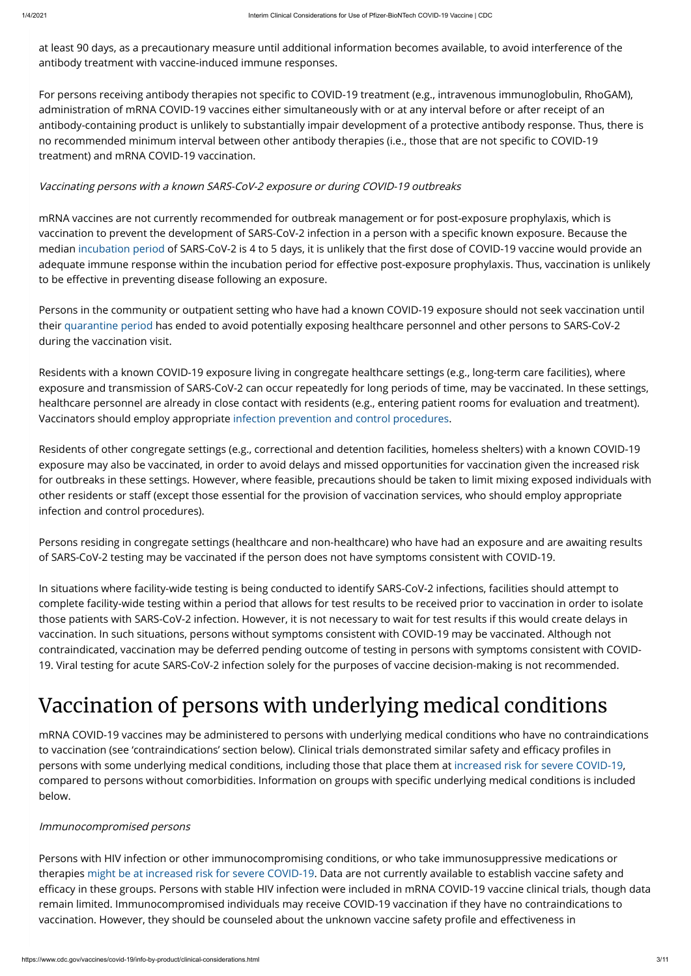at least 90 days, as a precautionary measure until additional information becomes available, to avoid interference of the antibody treatment with vaccine-induced immune responses.

For persons receiving antibody therapies not specific to COVID-19 treatment (e.g., intravenous immunoglobulin, RhoGAM), administration of mRNA COVID-19 vaccines either simultaneously with or at any interval before or after receipt of an antibody-containing product is unlikely to substantially impair development of a protective antibody response. Thus, there is no recommended minimum interval between other antibody therapies (i.e., those that are not specific to COVID-19 treatment) and mRNA COVID-19 vaccination.

mRNA vaccines are not currently recommended for outbreak management or for post-exposure prophylaxis, which is vaccination to prevent the development of SARS-CoV-2 infection in a person with a specific known exposure. Because the median [incubation period](https://www.cdc.gov/coronavirus/2019-ncov/hcp/clinical-guidance-management-patients.html) of SARS-CoV-2 is 4 to 5 days, it is unlikely that the first dose of COVID-19 vaccine would provide an adequate immune response within the incubation period for effective post-exposure prophylaxis. Thus, vaccination is unlikely to be effective in preventing disease following an exposure.

### Vaccinating persons with a known SARS-CoV-2 exposure or during COVID-19 outbreaks

Persons in the community or outpatient setting who have had a known COVID-19 exposure should not seek vaccination until their [quarantine period](https://www.cdc.gov/coronavirus/2019-ncov/if-you-are-sick/quarantine.html) has ended to avoid potentially exposing healthcare personnel and other persons to SARS-CoV-2 during the vaccination visit.

Residents with a known COVID-19 exposure living in congregate healthcare settings (e.g., long-term care facilities), where exposure and transmission of SARS-CoV-2 can occur repeatedly for long periods of time, may be vaccinated. In these settings, healthcare personnel are already in close contact with residents (e.g., entering patient rooms for evaluation and treatment). Vaccinators should employ appropriate [infection prevention and control procedures](https://www.cdc.gov/coronavirus/2019-ncov/hcp/infection-control-recommendations.html).

to vaccination (see 'contraindications' section below). Clinical trials demonstrated similar safety and efficacy profiles in persons with some underlying medical conditions, including those that place them at [increased risk for severe COVID-19](https://www.cdc.gov/coronavirus/2019-ncov/need-extra-precautions/people-with-medical-conditions.html), compared to persons without comorbidities. Information on groups with specific underlying medical conditions is included below.

Persons with HIV infection or other immunocompromising conditions, or who take immunosuppressive medications or therapies [might be at increased risk for severe COVID-19](https://www.cdc.gov/coronavirus/2019-ncov/need-extra-precautions/people-with-medical-conditions.html). Data are not currently available to establish vaccine safety and efficacy in these groups. Persons with stable HIV infection were included in mRNA COVID-19 vaccine clinical trials, though data remain limited. Immunocompromised individuals may receive COVID-19 vaccination if they have no contraindications to vaccination. However, they should be counseled about the unknown vaccine safety profile and effectiveness in

Residents of other congregate settings (e.g., correctional and detention facilities, homeless shelters) with a known COVID-19 exposure may also be vaccinated, in order to avoid delays and missed opportunities for vaccination given the increased risk for outbreaks in these settings. However, where feasible, precautions should be taken to limit mixing exposed individuals with other residents or staff (except those essential for the provision of vaccination services, who should employ appropriate infection and control procedures).

Persons residing in congregate settings (healthcare and non-healthcare) who have had an exposure and are awaiting results of SARS-CoV-2 testing may be vaccinated if the person does not have symptoms consistent with COVID-19.

In situations where facility-wide testing is being conducted to identify SARS-CoV-2 infections, facilities should attempt to complete facility-wide testing within a period that allows for test results to be received prior to vaccination in order to isolate those patients with SARS-CoV-2 infection. However, it is not necessary to wait for test results if this would create delays in vaccination. In such situations, persons without symptoms consistent with COVID-19 may be vaccinated. Although not contraindicated, vaccination may be deferred pending outcome of testing in persons with symptoms consistent with COVID-19. Viral testing for acute SARS-CoV-2 infection solely for the purposes of vaccine decision-making is not recommended.

# Vaccination of persons with underlying medical conditions

mRNA COVID-19 vaccines may be administered to persons with underlying medical conditions who have no contraindications

#### Immunocompromised persons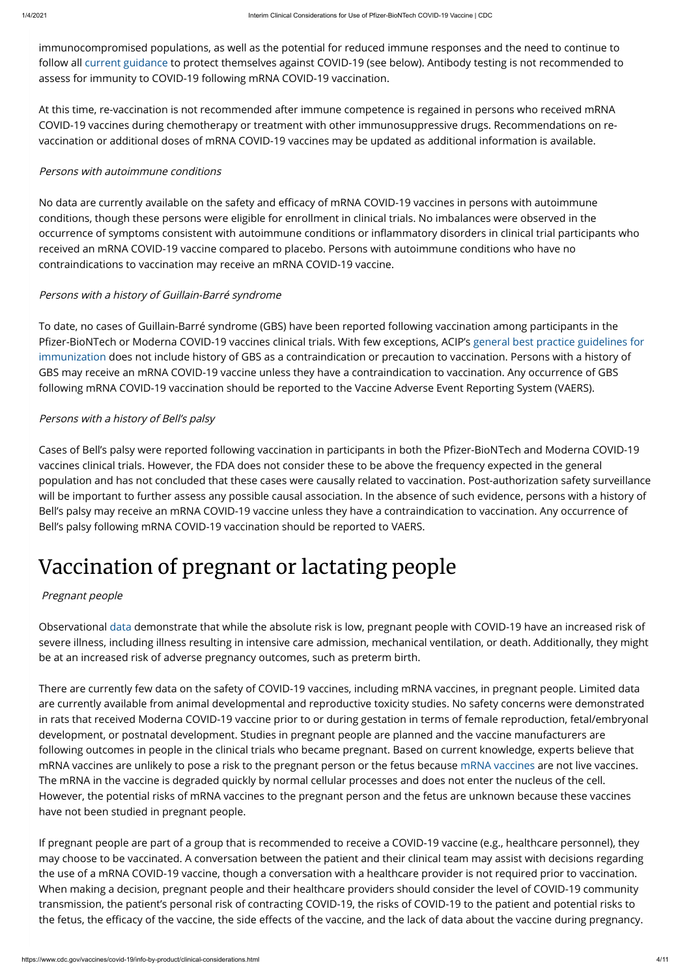immunocompromised populations, as well as the potential for reduced immune responses and the need to continue to follow all [current guidance](https://www.cdc.gov/coronavirus/2019-ncov/index.html) to protect themselves against COVID-19 (see below). Antibody testing is not recommended to assess for immunity to COVID-19 following mRNA COVID-19 vaccination.

At this time, re-vaccination is not recommended after immune competence is regained in persons who received mRNA COVID-19 vaccines during chemotherapy or treatment with other immunosuppressive drugs. Recommendations on revaccination or additional doses of mRNA COVID-19 vaccines may be updated as additional information is available.

No data are currently available on the safety and efficacy of mRNA COVID-19 vaccines in persons with autoimmune conditions, though these persons were eligible for enrollment in clinical trials. No imbalances were observed in the occurrence of symptoms consistent with autoimmune conditions or inflammatory disorders in clinical trial participants who received an mRNA COVID-19 vaccine compared to placebo. Persons with autoimmune conditions who have no contraindications to vaccination may receive an mRNA COVID-19 vaccine.

#### Persons with autoimmune conditions

Cases of Bell's palsy were reported following vaccination in participants in both the Pfizer-BioNTech and Moderna COVID-19 vaccines clinical trials. However, the FDA does not consider these to be above the frequency expected in the general population and has not concluded that these cases were causally related to vaccination. Post-authorization safety surveillance will be important to further assess any possible causal association. In the absence of such evidence, persons with a history of Bell's palsy may receive an mRNA COVID-19 vaccine unless they have a contraindication to vaccination. Any occurrence of Bell's palsy following mRNA COVID-19 vaccination should be reported to VAERS.

#### Persons with a history of Guillain-Barré syndrome

To date, no cases of Guillain-Barré syndrome (GBS) have been reported following vaccination among participants in the Pfizer-BioNTech or Moderna COVID-19 vaccines clinical trials. With few exceptions, ACIP's general best practice guidelines for immunization does not include history of GBS as a contraindication or precaution to vaccination. Persons with a history of GBS may receive an mRNA COVID-19 vaccine unless they have a contraindication to vaccination. Any occurrence of GBS following mRNA COVID-19 vaccination should be reported to the Vaccine Adverse Event Reporting System (VAERS).

#### Persons with a history of Bell's palsy

If pregnant people are part of a group that is recommended to receive a COVID-19 vaccine (e.g., healthcare personnel), they may choose to be vaccinated. A conversation between the patient and their clinical team may assist with decisions regarding the use of a mRNA COVID-19 vaccine, though a conversation with a healthcare provider is not required prior to vaccination. When making a decision, pregnant people and their healthcare providers should consider the level of COVID-19 community transmission, the patient's personal risk of contracting COVID-19, the risks of COVID-19 to the patient and potential risks to the fetus, the efficacy of the vaccine, the side effects of the vaccine, and the lack of data about the vaccine during pregnancy.

# Vaccination of pregnant or lactating people

#### Pregnant people

Observational [data](https://www.cdc.gov/coronavirus/2019-ncov/need-extra-precautions/pregnancy-breastfeeding.html) demonstrate that while the absolute risk is low, pregnant people with COVID-19 have an increased risk of severe illness, including illness resulting in intensive care admission, mechanical ventilation, or death. Additionally, they might be at an increased risk of adverse pregnancy outcomes, such as preterm birth.

There are currently few data on the safety of COVID-19 vaccines, including mRNA vaccines, in pregnant people. Limited data are currently available from animal developmental and reproductive toxicity studies. No safety concerns were demonstrated in rats that received Moderna COVID-19 vaccine prior to or during gestation in terms of female reproduction, fetal/embryonal development, or postnatal development. Studies in pregnant people are planned and the vaccine manufacturers are following outcomes in people in the clinical trials who became pregnant. Based on current knowledge, experts believe that mRNA vaccines are unlikely to pose a risk to the pregnant person or the fetus because [mRNA vaccines](https://www.cdc.gov/coronavirus/2019-ncov/vaccines/different-vaccines/mrna.html) are not live vaccines. The mRNA in the vaccine is degraded quickly by normal cellular processes and does not enter the nucleus of the cell. However, the potential risks of mRNA vaccines to the pregnant person and the fetus are unknown because these vaccines have not been studied in pregnant people.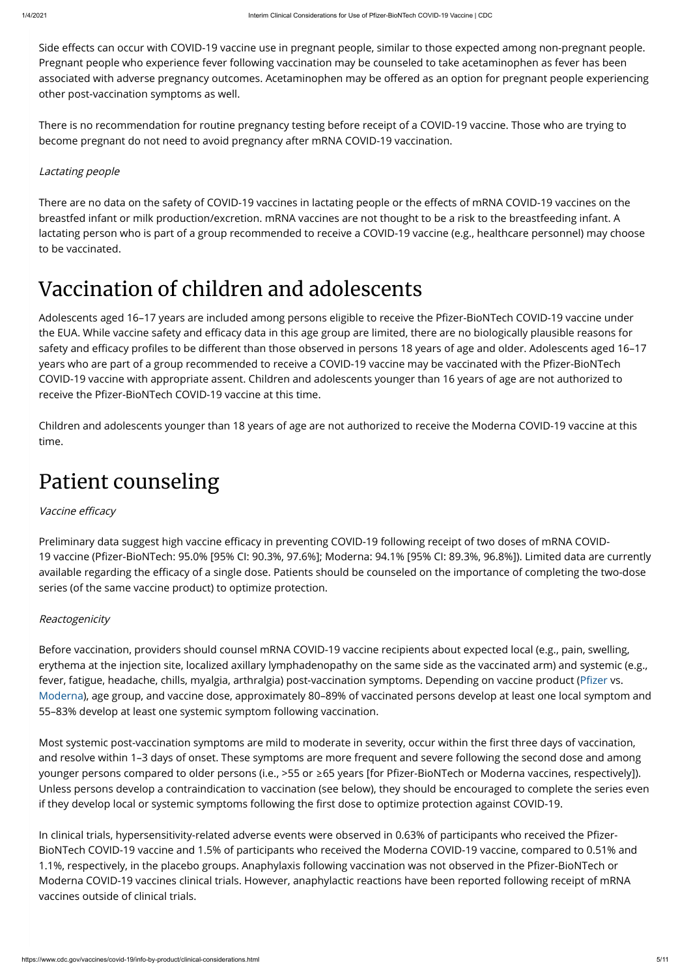Side effects can occur with COVID-19 vaccine use in pregnant people, similar to those expected among non-pregnant people. Pregnant people who experience fever following vaccination may be counseled to take acetaminophen as fever has been associated with adverse pregnancy outcomes. Acetaminophen may be offered as an option for pregnant people experiencing other post-vaccination symptoms as well.

There are no data on the safety of COVID-19 vaccines in lactating people or the effects of mRNA COVID-19 vaccines on the breastfed infant or milk production/excretion. mRNA vaccines are not thought to be a risk to the breastfeeding infant. A lactating person who is part of a group recommended to receive a COVID-19 vaccine (e.g., healthcare personnel) may choose to be vaccinated.

There is no recommendation for routine pregnancy testing before receipt of a COVID-19 vaccine. Those who are trying to become pregnant do not need to avoid pregnancy after mRNA COVID-19 vaccination.

### Lactating people

### Vaccination of children and adolescents

Adolescents aged 16-17 years are included among persons eligible to receive the Pfizer-BioNTech COVID-19 vaccine under the EUA. While vaccine safety and efficacy data in this age group are limited, there are no biologically plausible reasons for safety and efficacy profiles to be different than those observed in persons 18 years of age and older. Adolescents aged 16–17 years who are part of a group recommended to receive a COVID-19 vaccine may be vaccinated with the Pfizer-BioNTech COVID-19 vaccine with appropriate assent. Children and adolescents younger than 16 years of age are not authorized to receive the Pfizer-BioNTech COVID-19 vaccine at this time.

Preliminary data suggest high vaccine efficacy in preventing COVID-19 following receipt of two doses of mRNA COVID-19 vaccine (Pfizer-BioNTech: 95.0% [95% CI: 90.3%, 97.6%]; Moderna: 94.1% [95% CI: 89.3%, 96.8%]). Limited data are currently available regarding the efficacy of a single dose. Patients should be counseled on the importance of completing the two-dose series (of the same vaccine product) to optimize protection.

Children and adolescents younger than 18 years of age are not authorized to receive the Moderna COVID-19 vaccine at this time.

### Patient counseling

### Vaccine efficacy

In clinical trials, hypersensitivity-related adverse events were observed in 0.63% of participants who received the Pfizer-BioNTech COVID-19 vaccine and 1.5% of participants who received the Moderna COVID-19 vaccine, compared to 0.51% and 1.1%, respectively, in the placebo groups. Anaphylaxis following vaccination was not observed in the Pfizer-BioNTech or Moderna COVID-19 vaccines clinical trials. However, anaphylactic reactions have been reported following receipt of mRNA vaccines outside of clinical trials.

### Reactogenicity

Before vaccination, providers should counsel mRNA COVID-19 vaccine recipients about expected local (e.g., pain, swelling, erythema at the injection site, localized axillary lymphadenopathy on the same side as the vaccinated arm) and systemic (e.g., fever, fatigue, headache, chills, myalgia, arthralgia) post-vaccination symptoms. Depending on vaccine product (Pfizer vs. [Moderna](https://www.cdc.gov/vaccines/covid-19/info-by-product/moderna/reactogenicity.html)), age group, and vaccine dose, approximately 80–89% of vaccinated persons develop at least one local symptom and 55–83% develop at least one systemic symptom following vaccination.

Most systemic post-vaccination symptoms are mild to moderate in severity, occur within the first three days of vaccination, and resolve within 1–3 days of onset. These symptoms are more frequent and severe following the second dose and among younger persons compared to older persons (i.e., >55 or  $\geq 65$  years [for Pfizer-BioNTech or Moderna vaccines, respectively]). Unless persons develop a contraindication to vaccination (see below), they should be encouraged to complete the series even if they develop local or systemic symptoms following the first dose to optimize protection against COVID-19.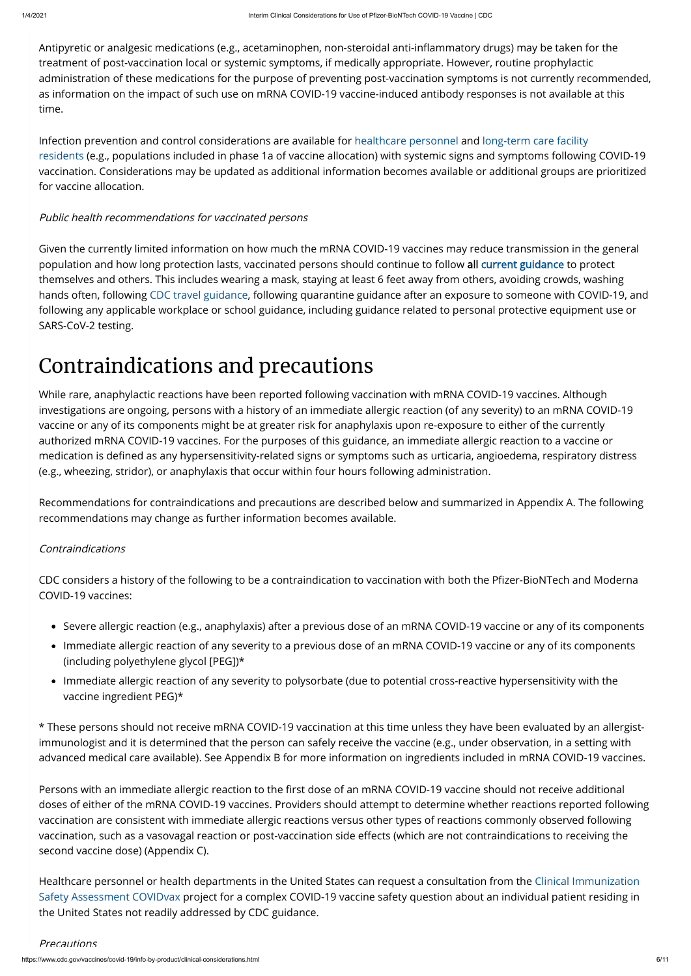Antipyretic or analgesic medications (e.g., acetaminophen, non-steroidal anti-inflammatory drugs) may be taken for the treatment of post-vaccination local or systemic symptoms, if medically appropriate. However, routine prophylactic administration of these medications for the purpose of preventing post-vaccination symptoms is not currently recommended, as information on the impact of such use on mRNA COVID-19 vaccine-induced antibody responses is not available at this time.

[Infection prevention and control considerations are available for](https://www.cdc.gov/coronavirus/2019-ncov/hcp/post-vaccine-considerations-residents.html) [healthcare personnel](https://www.cdc.gov/coronavirus/2019-ncov/hcp/post-vaccine-considerations-healthcare-personnel.html) [and long-term care facility](https://www.cdc.gov/coronavirus/2019-ncov/hcp/post-vaccine-considerations-residents.html) residents (e.g., populations included in phase 1a of vaccine allocation) with systemic signs and symptoms following COVID-19 vaccination. Considerations may be updated as additional information becomes available or additional groups are prioritized for vaccine allocation.

### Public health recommendations for vaccinated persons

CDC considers a history of the following to be a contraindication to vaccination with both the Pfizer-BioNTech and Moderna COVID-19 vaccines:

Given the currently limited information on how much the mRNA COVID-19 vaccines may reduce transmission in the general population and how long protection lasts, vaccinated persons should continue to follow all [current guidance](https://www.cdc.gov/coronavirus/2019-ncov/index.html) to protect themselves and others. This includes wearing a mask, staying at least 6 feet away from others, avoiding crowds, washing hands often, following [CDC travel guidance](https://www.cdc.gov/coronavirus/2019-ncov/travelers/index.html), following quarantine guidance after an exposure to someone with COVID-19, and following any applicable workplace or school guidance, including guidance related to personal protective equipment use or SARS-CoV-2 testing.

### Contraindications and precautions

Persons with an immediate allergic reaction to the first dose of an mRNA COVID-19 vaccine should not receive additional doses of either of the mRNA COVID-19 vaccines. Providers should attempt to determine whether reactions reported following vaccination are consistent with immediate allergic reactions versus other types of reactions commonly observed following vaccination, such as a vasovagal reaction or post-vaccination side effects (which are not contraindications to receiving the second vaccine dose) (Appendix C).

While rare, anaphylactic reactions have been reported following vaccination with mRNA COVID-19 vaccines. Although investigations are ongoing, persons with a history of an immediate allergic reaction (of any severity) to an mRNA COVID-19 vaccine or any of its components might be at greater risk for anaphylaxis upon re-exposure to either of the currently authorized mRNA COVID-19 vaccines. For the purposes of this guidance, an immediate allergic reaction to a vaccine or medication is defined as any hypersensitivity-related signs or symptoms such as urticaria, angioedema, respiratory distress (e.g., wheezing, stridor), or anaphylaxis that occur within four hours following administration.

Recommendations for contraindications and precautions are described below and summarized in Appendix A. The following recommendations may change as further information becomes available.

### Contraindications

- Severe allergic reaction (e.g., anaphylaxis) after a previous dose of an mRNA COVID-19 vaccine or any of its components
- Immediate allergic reaction of any severity to a previous dose of an mRNA COVID-19 vaccine or any of its components (including polyethylene glycol [PEG])\*
- Immediate allergic reaction of any severity to polysorbate (due to potential cross-reactive hypersensitivity with the vaccine ingredient PEG)\*

\* These persons should not receive mRNA COVID-19 vaccination at this time unless they have been evaluated by an allergist-

immunologist and it is determined that the person can safely receive the vaccine (e.g., under observation, in a setting with advanced medical care available). See Appendix B for more information on ingredients included in mRNA COVID-19 vaccines.

[Healthcare personnel or health departments in the United States can request a consultation from the Clinical Immunization](https://www.cdc.gov/vaccinesafety/ensuringsafety/monitoring/cisa/index.html) Safety Assessment COVIDvax project for a complex COVID-19 vaccine safety question about an individual patient residing in the United States not readily addressed by CDC guidance.

**Precautions**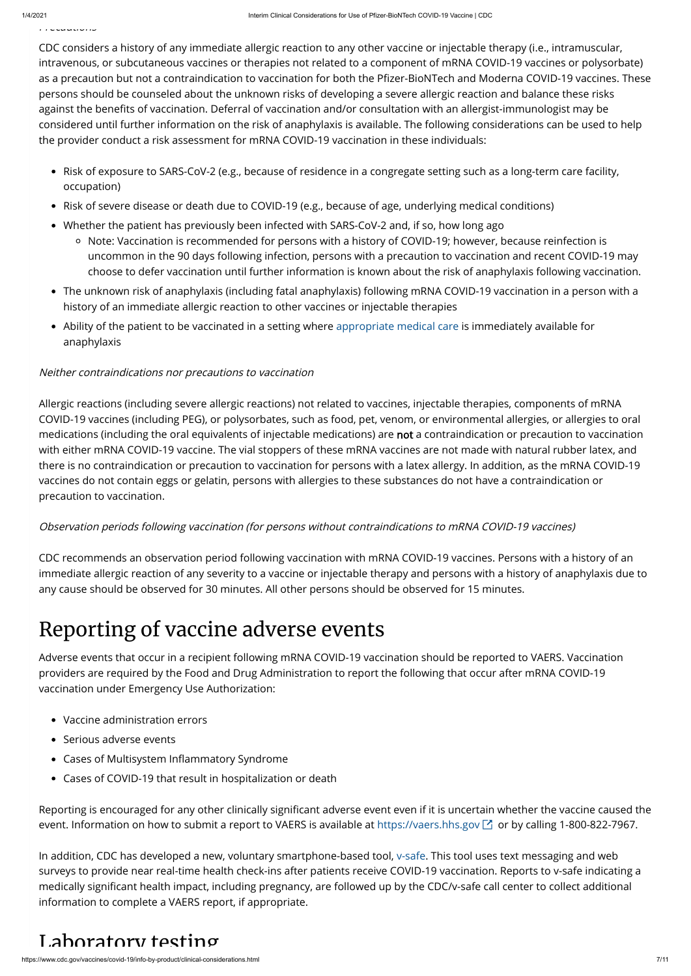Precautions

CDC considers a history of any immediate allergic reaction to any other vaccine or injectable therapy (i.e., intramuscular, intravenous, or subcutaneous vaccines or therapies not related to a component of mRNA COVID-19 vaccines or polysorbate) as a precaution but not a contraindication to vaccination for both the Pfizer-BioNTech and Moderna COVID-19 vaccines. These persons should be counseled about the unknown risks of developing a severe allergic reaction and balance these risks against the benefits of vaccination. Deferral of vaccination and/or consultation with an allergist-immunologist may be considered until further information on the risk of anaphylaxis is available. The following considerations can be used to help the provider conduct a risk assessment for mRNA COVID-19 vaccination in these individuals:

- Risk of exposure to SARS-CoV-2 (e.g., because of residence in a congregate setting such as a long-term care facility, occupation)
- Risk of severe disease or death due to COVID-19 (e.g., because of age, underlying medical conditions)
- Whether the patient has previously been infected with SARS-CoV-2 and, if so, how long ago
	- Note: Vaccination is recommended for persons with a history of COVID-19; however, because reinfection is uncommon in the 90 days following infection, persons with a precaution to vaccination and recent COVID-19 may choose to defer vaccination until further information is known about the risk of anaphylaxis following vaccination.
- The unknown risk of anaphylaxis (including fatal anaphylaxis) following mRNA COVID-19 vaccination in a person with a history of an immediate allergic reaction to other vaccines or injectable therapies
- Ability of the patient to be vaccinated in a setting where [appropriate medical care](https://www.cdc.gov/vaccines/covid-19/info-by-product/pfizer/anaphylaxis-management.html) is immediately available for anaphylaxis

### Neither contraindications nor precautions to vaccination

Allergic reactions (including severe allergic reactions) not related to vaccines, injectable therapies, components of mRNA COVID-19 vaccines (including PEG), or polysorbates, such as food, pet, venom, or environmental allergies, or allergies to oral medications (including the oral equivalents of injectable medications) are not a contraindication or precaution to vaccination with either mRNA COVID-19 vaccine. The vial stoppers of these mRNA vaccines are not made with natural rubber latex, and there is no contraindication or precaution to vaccination for persons with a latex allergy. In addition, as the mRNA COVID-19 vaccines do not contain eggs or gelatin, persons with allergies to these substances do not have a contraindication or precaution to vaccination.

### Observation periods following vaccination (for persons without contraindications to mRNA COVID-19 vaccines)

CDC recommends an observation period following vaccination with mRNA COVID-19 vaccines. Persons with a history of an immediate allergic reaction of any severity to a vaccine or injectable therapy and persons with a history of anaphylaxis due to any cause should be observed for 30 minutes. All other persons should be observed for 15 minutes.

# Reporting of vaccine adverse events

Adverse events that occur in a recipient following mRNA COVID-19 vaccination should be reported to VAERS. Vaccination providers are required by the Food and Drug Administration to report the following that occur after mRNA COVID-19 vaccination under Emergency Use Authorization:

- Vaccine administration errors
- Serious adverse events
- Cases of Multisystem Inflammatory Syndrome
- Cases of COVID-19 that result in hospitalization or death

Reporting is encouraged for any other clinically significant adverse event even if it is uncertain whether the vaccine caused the event. Information on how to submit a report to VAERS is available at [https://vaers.hhs.gov](https://vaers.hhs.gov/)  $\boxtimes$  or by calling 1-800-822-7967.

In addition, CDC has developed a new, voluntary smartphone-based tool, [v-safe.](https://www.cdc.gov/coronavirus/2019-ncov/vaccines/safety/vsafe.html) This tool uses text messaging and web surveys to provide near real-time health check-ins after patients receive COVID-19 vaccination. Reports to v-safe indicating a medically significant health impact, including pregnancy, are followed up by the CDC/v-safe call center to collect additional information to complete a VAERS report, if appropriate.

### Laboratory testing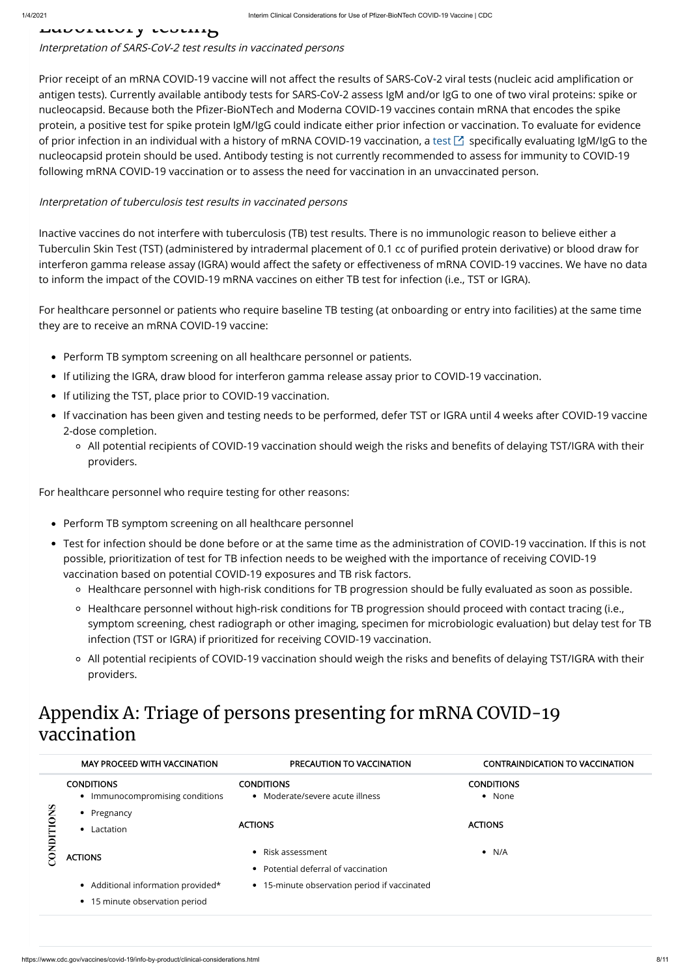#### HUUVLULVLY LUULLIH

Interpretation of SARS-CoV-2 test results in vaccinated persons

Prior receipt of an mRNA COVID-19 vaccine will not affect the results of SARS-CoV-2 viral tests (nucleic acid amplification or antigen tests). Currently available antibody tests for SARS-CoV-2 assess IgM and/or IgG to one of two viral proteins: spike or nucleocapsid. Because both the Pfizer-BioNTech and Moderna COVID-19 vaccines contain mRNA that encodes the spike protein, a positive test for spike protein IgM/IgG could indicate either prior infection or vaccination. To evaluate for evidence of prior infection in an individual with a history of mRNA COVID-19 vaccination, a [test](https://www.fda.gov/medical-devices/coronavirus-disease-2019-covid-19-emergency-use-authorizations-medical-devices/eua-authorized-serology-test-performance)  $\boxtimes$  specifically evaluating IgM/IgG to the nucleocapsid protein should be used. Antibody testing is not currently recommended to assess for immunity to COVID-19 following mRNA COVID-19 vaccination or to assess the need for vaccination in an unvaccinated person.

#### Interpretation of tuberculosis test results in vaccinated persons

- Perform TB symptom screening on all healthcare personnel or patients.
- If utilizing the IGRA, draw blood for interferon gamma release assay prior to COVID-19 vaccination.
- If utilizing the TST, place prior to COVID-19 vaccination.
- If vaccination has been given and testing needs to be performed, defer TST or IGRA until 4 weeks after COVID-19 vaccine 2-dose completion.
	- All potential recipients of COVID-19 vaccination should weigh the risks and benefits of delaying TST/IGRA with their providers.

Inactive vaccines do not interfere with tuberculosis (TB) test results. There is no immunologic reason to believe either a Tuberculin Skin Test (TST) (administered by intradermal placement of 0.1 cc of purified protein derivative) or blood draw for interferon gamma release assay (IGRA) would affect the safety or effectiveness of mRNA COVID-19 vaccines. We have no data to inform the impact of the COVID-19 mRNA vaccines on either TB test for infection (i.e., TST or IGRA).

- Perform TB symptom screening on all healthcare personnel
- Test for infection should be done before or at the same time as the administration of COVID-19 vaccination. If this is not possible, prioritization of test for TB infection needs to be weighed with the importance of receiving COVID-19 vaccination based on potential COVID-19 exposures and TB risk factors.
	- Healthcare personnel with high-risk conditions for TB progression should be fully evaluated as soon as possible.
	- Healthcare personnel without high-risk conditions for TB progression should proceed with contact tracing (i.e., symptom screening, chest radiograph or other imaging, specimen for microbiologic evaluation) but delay test for TB infection (TST or IGRA) if prioritized for receiving COVID-19 vaccination.
	- All potential recipients of COVID-19 vaccination should weigh the risks and benefits of delaying TST/IGRA with their providers.

For healthcare personnel or patients who require baseline TB testing (at onboarding or entry into facilities) at the same time they are to receive an mRNA COVID-19 vaccine:

For healthcare personnel who require testing for other reasons:

### Appendix A: Triage of persons presenting for mRNA COVID-19 vaccination

|                  | <b>MAY PROCEED WITH VACCINATION</b>                                  | <b>PRECAUTION TO VACCINATION</b>                       | <b>CONTRAINDICATION TO VACCINATION</b> |
|------------------|----------------------------------------------------------------------|--------------------------------------------------------|----------------------------------------|
| <b>SNOLLIQNO</b> | <b>CONDITIONS</b><br>• Immunocompromising conditions                 | <b>CONDITIONS</b><br>• Moderate/severe acute illness   | <b>CONDITIONS</b><br>• None            |
|                  | Pregnancy<br>Lactation                                               | <b>ACTIONS</b>                                         | <b>ACTIONS</b>                         |
|                  | <b>ACTIONS</b>                                                       | Risk assessment<br>• Potential deferral of vaccination | $\bullet$ N/A                          |
|                  | • Additional information provided*<br>• 15 minute observation period | • 15-minute observation period if vaccinated           |                                        |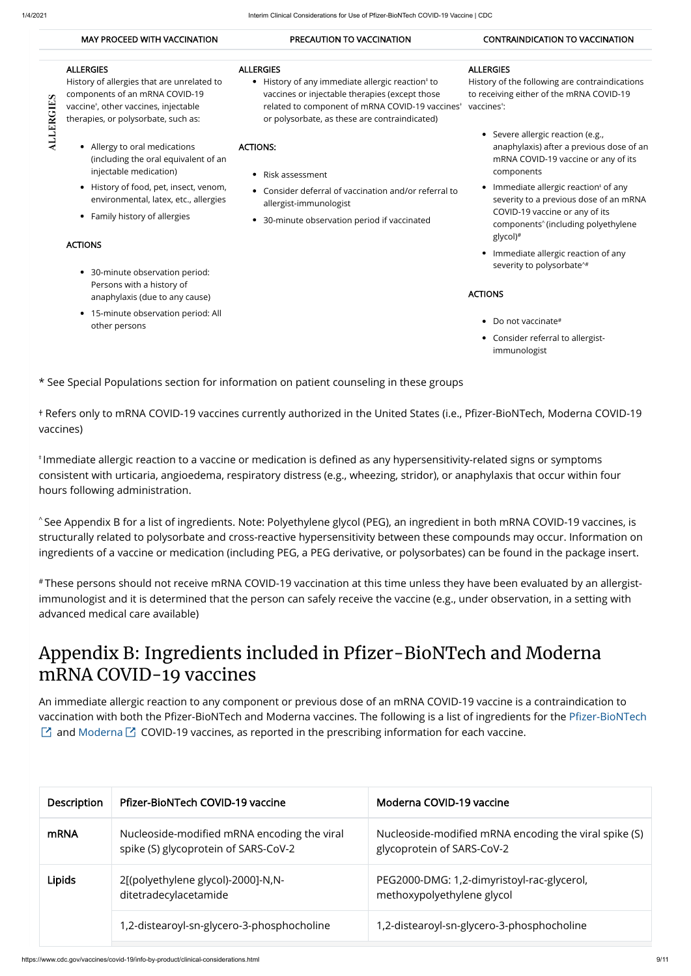**ALLERGIES** 

- Allergy to oral medications (including the oral equivalent of an injectable medication)
- History of food, pet, insect, venom, environmental, latex, etc., allergies
- Family history of allergies

#### MAY PROCEED WITH VACCINATION PRECAUTION TO VACCINATION CONTRAINDICATION TO VACCINATION

#### ALLERGIES

History of allergies that are unrelated to components of an mRNA COVID-19 vaccine†, other vaccines, injectable therapies, or polysorbate, such as:

- 30-minute observation period: Persons with a history of anaphylaxis (due to any cause)
- 15-minute observation period: All other persons

History of any immediate allergic reaction<sup>‡</sup> to vaccines or injectable therapies (except those related to component of mRNA COVID-19 vaccines or polysorbate, as these are contraindicated)

History of the following are contraindications to receiving either of the mRNA COVID-19  $^{\dagger}$  vaccines $^{\dagger}$ :

#### ACTIONS

#### ALLERGIES

 $+$  Refers only to mRNA COVID-19 vaccines currently authorized in the United States (i.e., Pfizer-BioNTech, Moderna COVID-19 vaccines)

#### ACTIONS:

- Risk assessment
- Consider deferral of vaccination and/or referral to allergist-immunologist
- 30-minute observation period if vaccinated

 $^\ast$ Immediate allergic reaction to a vaccine or medication is defined as any hypersensitivity-related signs or symptoms consistent with urticaria, angioedema, respiratory distress (e.g., wheezing, stridor), or anaphylaxis that occur within four hours following administration.

#### ALLERGIES

 $^\wedge$ See Appendix B for a list of ingredients. Note: Polyethylene glycol (PEG), an ingredient in both mRNA COVID-19 vaccines, is structurally related to polysorbate and cross-reactive hypersensitivity between these compounds may occur. Information on ingredients of a vaccine or medication (including PEG, a PEG derivative, or polysorbates) can be found in the package insert.

### Appendix B: Ingredients included in Pfizer-BioNTech and Moderna mRNA COVID-19 vaccines

An immediate allergic reaction to any component or previous dose of an mRNA COVID-19 vaccine is a contraindication to vaccination with both the Pfizer-BioNTech and Moderna vaccines. The following is a list of ingredients for the Pfizer-BioNTech  $\boxtimes$  and [Moderna](https://www.fda.gov/media/144637/download)  $\boxtimes$  COVID-19 vaccines, as reported in the prescribing information for each vaccine.

#### ACTIONS

- Do not vaccinate #
- Consider referral to allergistimmunologist

\* See Special Populations section for information on patient counseling in these groups

- Severe allergic reaction (e.g., anaphylaxis) after a previous dose of an mRNA COVID-19 vaccine or any of its components
- lmmediate allergic reaction‡ of any severity to a previous dose of an mRNA COVID-19 vaccine or any of its components<sup>^</sup> (including polyethylene glycol) #
- Immediate allergic reaction of any severity to polysorbate ^#

These persons should not receive mRNA COVID-19 vaccination at this time unless they have been evaluated by an allergist-# immunologist and it is determined that the person can safely receive the vaccine (e.g., under observation, in a setting with advanced medical care available)

| Description | Pfizer-BioNTech COVID-19 vaccine                                                    | Moderna COVID-19 vaccine                                                            |
|-------------|-------------------------------------------------------------------------------------|-------------------------------------------------------------------------------------|
| <b>mRNA</b> | Nucleoside-modified mRNA encoding the viral<br>spike (S) glycoprotein of SARS-CoV-2 | Nucleoside-modified mRNA encoding the viral spike (S)<br>glycoprotein of SARS-CoV-2 |
| Lipids      | 2[(polyethylene glycol)-2000]-N,N-<br>ditetradecylacetamide                         | PEG2000-DMG: 1,2-dimyristoyl-rac-glycerol,<br>methoxypolyethylene glycol            |
|             | 1,2-distearoyl-sn-glycero-3-phosphocholine                                          | 1,2-distearoyl-sn-glycero-3-phosphocholine                                          |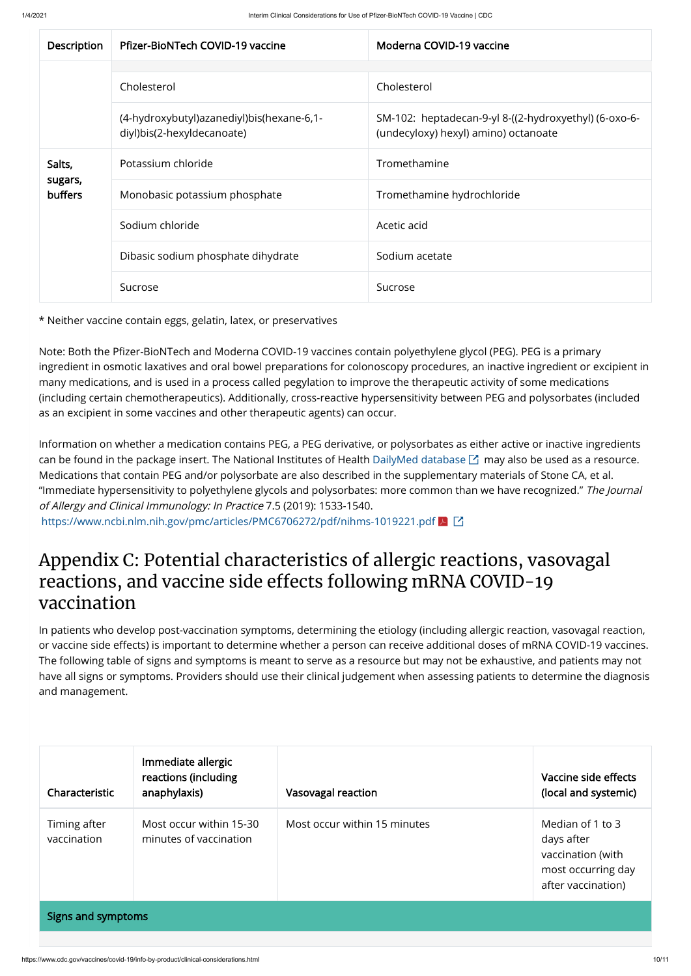| Description               | Pfizer-BioNTech COVID-19 vaccine                                            | Moderna COVID-19 vaccine                                                                      |
|---------------------------|-----------------------------------------------------------------------------|-----------------------------------------------------------------------------------------------|
|                           |                                                                             |                                                                                               |
|                           | Cholesterol                                                                 | Cholesterol                                                                                   |
|                           | (4-hydroxybutyl) azanediyl) bis (hexane-6, 1-<br>diyl)bis(2-hexyldecanoate) | SM-102: heptadecan-9-yl 8-((2-hydroxyethyl) (6-oxo-6-<br>(undecyloxy) hexyl) amino) octanoate |
| Salts,                    | Potassium chloride                                                          | Tromethamine                                                                                  |
| sugars,<br><b>buffers</b> | Monobasic potassium phosphate                                               | Tromethamine hydrochloride                                                                    |
|                           | Sodium chloride                                                             | Acetic acid                                                                                   |
|                           | Dibasic sodium phosphate dihydrate                                          | Sodium acetate                                                                                |
|                           | Sucrose                                                                     | Sucrose                                                                                       |

Note: Both the Pfizer-BioNTech and Moderna COVID-19 vaccines contain polyethylene glycol (PEG). PEG is a primary ingredient in osmotic laxatives and oral bowel preparations for colonoscopy procedures, an inactive ingredient or excipient in many medications, and is used in a process called pegylation to improve the therapeutic activity of some medications (including certain chemotherapeutics). Additionally, cross-reactive hypersensitivity between PEG and polysorbates (included as an excipient in some vaccines and other therapeutic agents) can occur.

\* Neither vaccine contain eggs, gelatin, latex, or preservatives

Information on whether a medication contains PEG, a PEG derivative, or polysorbates as either active or inactive ingredients can be found in the package insert. The National Institutes of Health [DailyMed database](https://dailymed.nlm.nih.gov/dailymed/index.cfm)  $\boxtimes$  may also be used as a resource. Medications that contain PEG and/or polysorbate are also described in the supplementary materials of Stone CA, et al. "Immediate hypersensitivity to polyethylene glycols and polysorbates: more common than we have recognized." The Journal of Allergy and Clinical Immunology: In Practice 7.5 (2019): 1533-1540.

<https://www.ncbi.nlm.nih.gov/pmc/articles/PMC6706272/pdf/nihms-1019221.pdf> <mark>と</mark>【1

### Appendix C: Potential characteristics of allergic reactions, vasovagal reactions, and vaccine side effects following mRNA COVID-19 vaccination

In patients who develop post-vaccination symptoms, determining the etiology (including allergic reaction, vasovagal reaction, or vaccine side effects) is important to determine whether a person can receive additional doses of mRNA COVID-19 vaccines. The following table of signs and symptoms is meant to serve as a resource but may not be exhaustive, and patients may not have all signs or symptoms. Providers should use their clinical judgement when assessing patients to determine the diagnosis and management.

| Characteristic              | Immediate allergic<br>reactions (including<br>anaphylaxis) | Vasovagal reaction           | Vaccine side effects<br>(local and systemic)                                                    |  |  |  |
|-----------------------------|------------------------------------------------------------|------------------------------|-------------------------------------------------------------------------------------------------|--|--|--|
| Timing after<br>vaccination | Most occur within 15-30<br>minutes of vaccination          | Most occur within 15 minutes | Median of 1 to 3<br>days after<br>vaccination (with<br>most occurring day<br>after vaccination) |  |  |  |
| Signs and symptoms          |                                                            |                              |                                                                                                 |  |  |  |
|                             |                                                            |                              |                                                                                                 |  |  |  |